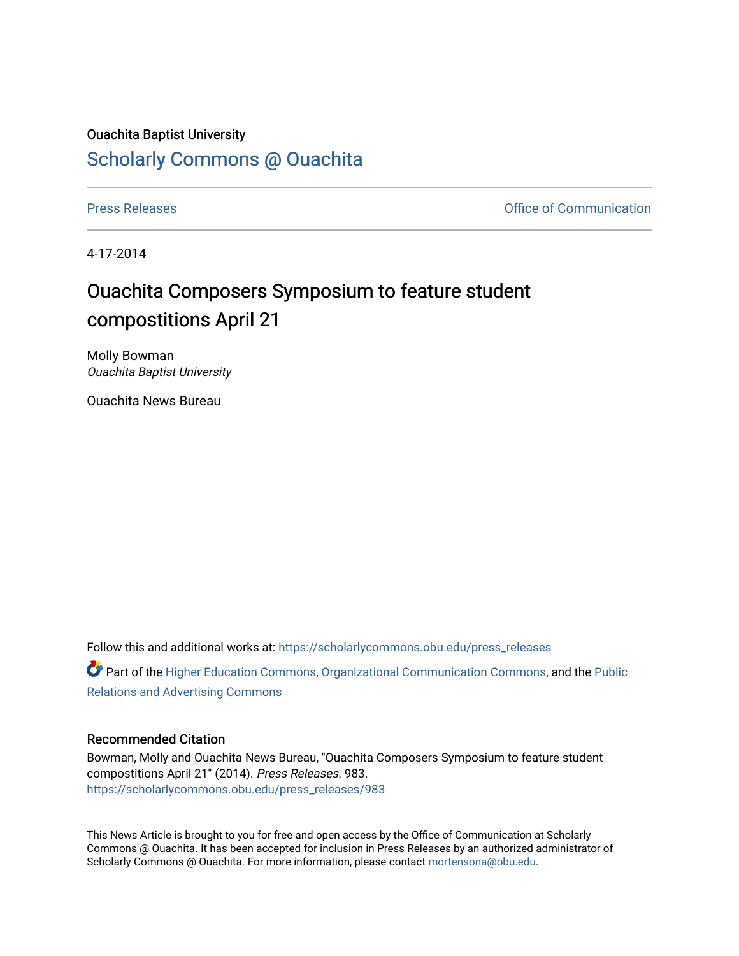## Ouachita Baptist University [Scholarly Commons @ Ouachita](https://scholarlycommons.obu.edu/)

[Press Releases](https://scholarlycommons.obu.edu/press_releases) **Press Releases Communication** 

4-17-2014

## Ouachita Composers Symposium to feature student compostitions April 21

Molly Bowman Ouachita Baptist University

Ouachita News Bureau

Follow this and additional works at: [https://scholarlycommons.obu.edu/press\\_releases](https://scholarlycommons.obu.edu/press_releases?utm_source=scholarlycommons.obu.edu%2Fpress_releases%2F983&utm_medium=PDF&utm_campaign=PDFCoverPages) Part of the [Higher Education Commons,](http://network.bepress.com/hgg/discipline/1245?utm_source=scholarlycommons.obu.edu%2Fpress_releases%2F983&utm_medium=PDF&utm_campaign=PDFCoverPages) [Organizational Communication Commons,](http://network.bepress.com/hgg/discipline/335?utm_source=scholarlycommons.obu.edu%2Fpress_releases%2F983&utm_medium=PDF&utm_campaign=PDFCoverPages) and the [Public](http://network.bepress.com/hgg/discipline/336?utm_source=scholarlycommons.obu.edu%2Fpress_releases%2F983&utm_medium=PDF&utm_campaign=PDFCoverPages) [Relations and Advertising Commons](http://network.bepress.com/hgg/discipline/336?utm_source=scholarlycommons.obu.edu%2Fpress_releases%2F983&utm_medium=PDF&utm_campaign=PDFCoverPages) 

## Recommended Citation

Bowman, Molly and Ouachita News Bureau, "Ouachita Composers Symposium to feature student compostitions April 21" (2014). Press Releases. 983. [https://scholarlycommons.obu.edu/press\\_releases/983](https://scholarlycommons.obu.edu/press_releases/983?utm_source=scholarlycommons.obu.edu%2Fpress_releases%2F983&utm_medium=PDF&utm_campaign=PDFCoverPages)

This News Article is brought to you for free and open access by the Office of Communication at Scholarly Commons @ Ouachita. It has been accepted for inclusion in Press Releases by an authorized administrator of Scholarly Commons @ Ouachita. For more information, please contact [mortensona@obu.edu](mailto:mortensona@obu.edu).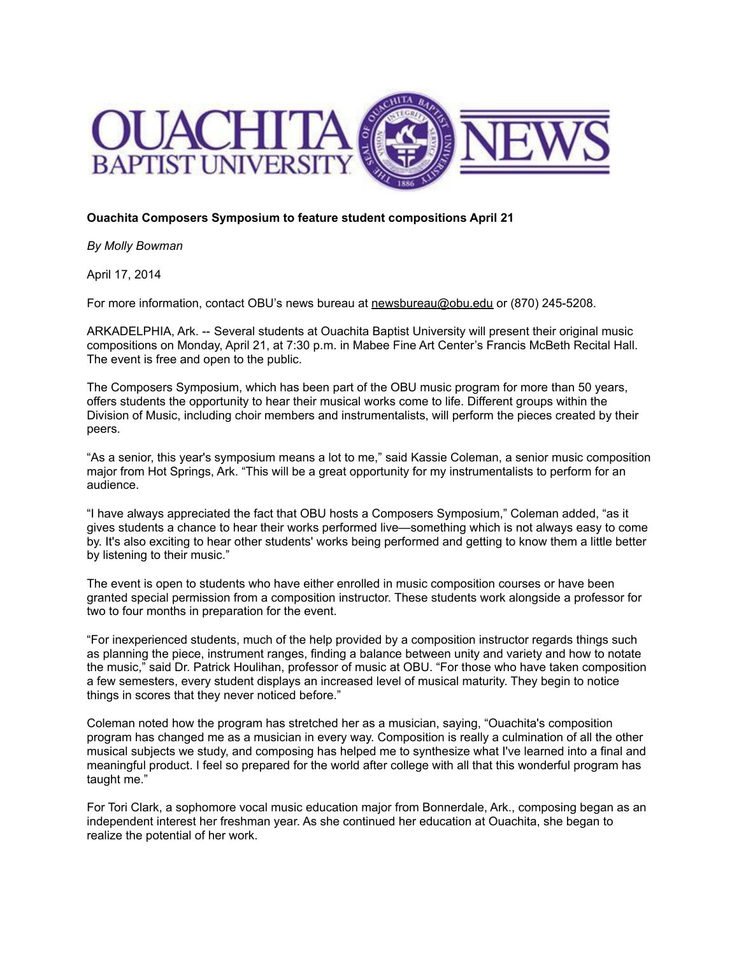

## **Ouachita Composers Symposium to feature student compositions April 21**

*By Molly Bowman*

April 17, 2014

For more information, contact OBU's news bureau at [newsbureau@obu.edu](mailto:newsbureau@obu.edu) or (870) 245-5208.

ARKADELPHIA, Ark. -- Several students at Ouachita Baptist University will present their original music compositions on Monday, April 21, at 7:30 p.m. in Mabee Fine Art Center's Francis McBeth Recital Hall. The event is free and open to the public.

The Composers Symposium, which has been part of the OBU music program for more than 50 years, offers students the opportunity to hear their musical works come to life. Different groups within the Division of Music, including choir members and instrumentalists, will perform the pieces created by their peers.

"As a senior, this year's symposium means a lot to me," said Kassie Coleman, a senior music composition major from Hot Springs, Ark. "This will be a great opportunity for my instrumentalists to perform for an audience.

"I have always appreciated the fact that OBU hosts a Composers Symposium," Coleman added, "as it gives students a chance to hear their works performed live—something which is not always easy to come by. It's also exciting to hear other students' works being performed and getting to know them a little better by listening to their music."

The event is open to students who have either enrolled in music composition courses or have been granted special permission from a composition instructor. These students work alongside a professor for two to four months in preparation for the event.

"For inexperienced students, much of the help provided by a composition instructor regards things such as planning the piece, instrument ranges, finding a balance between unity and variety and how to notate the music," said Dr. Patrick Houlihan, professor of music at OBU. "For those who have taken composition a few semesters, every student displays an increased level of musical maturity. They begin to notice things in scores that they never noticed before."

Coleman noted how the program has stretched her as a musician, saying, "Ouachita's composition program has changed me as a musician in every way. Composition is really a culmination of all the other musical subjects we study, and composing has helped me to synthesize what I've learned into a final and meaningful product. I feel so prepared for the world after college with all that this wonderful program has taught me."

For Tori Clark, a sophomore vocal music education major from Bonnerdale, Ark., composing began as an independent interest her freshman year. As she continued her education at Ouachita, she began to realize the potential of her work.